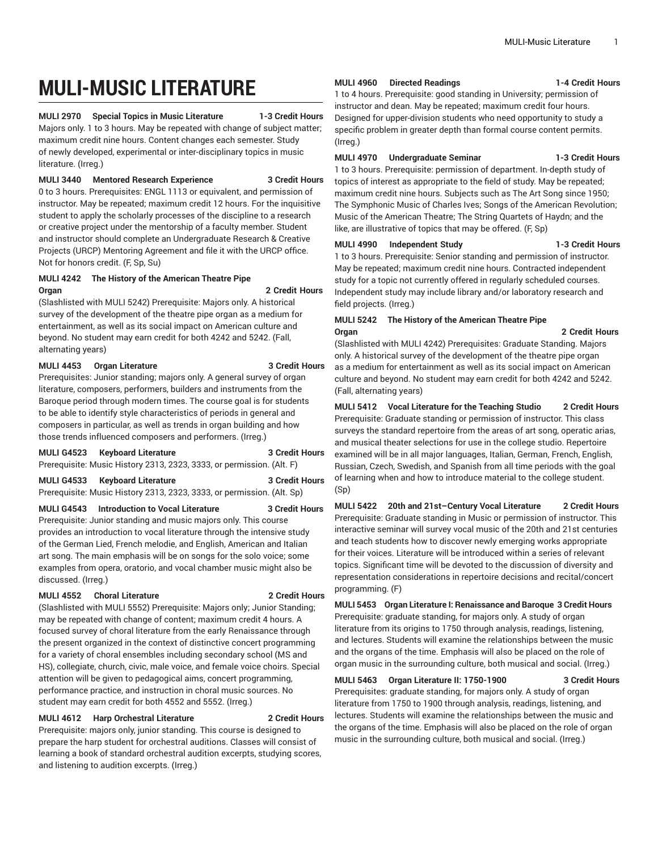# **MULI-MUSIC LITERATURE**

**MULI 2970 Special Topics in Music Literature 1-3 Credit Hours** Majors only. 1 to 3 hours. May be repeated with change of subject matter; maximum credit nine hours. Content changes each semester. Study of newly developed, experimental or inter-disciplinary topics in music literature. (Irreg.)

**MULI 3440 Mentored Research Experience 3 Credit Hours** 0 to 3 hours. Prerequisites: ENGL 1113 or equivalent, and permission of instructor. May be repeated; maximum credit 12 hours. For the inquisitive student to apply the scholarly processes of the discipline to a research or creative project under the mentorship of a faculty member. Student and instructor should complete an Undergraduate Research & Creative Projects (URCP) Mentoring Agreement and file it with the URCP office. Not for honors credit. (F, Sp, Su)

# **MULI 4242 The History of the American Theatre Pipe Organ 2 Credit Hours**

(Slashlisted with MULI 5242) Prerequisite: Majors only. A historical survey of the development of the theatre pipe organ as a medium for entertainment, as well as its social impact on American culture and beyond. No student may earn credit for both 4242 and 5242. (Fall, alternating years)

# **MULI 4453 Organ Literature 3 Credit Hours**

Prerequisites: Junior standing; majors only. A general survey of organ literature, composers, performers, builders and instruments from the Baroque period through modern times. The course goal is for students to be able to identify style characteristics of periods in general and composers in particular, as well as trends in organ building and how those trends influenced composers and performers. (Irreg.)

| <b>MULI G4523</b> | <b>Keyboard Literature</b>                                            | 3 Credit Hours |
|-------------------|-----------------------------------------------------------------------|----------------|
|                   | Prerequisite: Music History 2313, 2323, 3333, or permission. (Alt. F) |                |
| <b>MULI G4533</b> | <b>Keyboard Literature</b>                                            | 3 Credit Hours |

Prerequisite: Music History 2313, 2323, 3333, or permission. (Alt. Sp)

**MULI G4543 Introduction to Vocal Literature 3 Credit Hours**

Prerequisite: Junior standing and music majors only. This course provides an introduction to vocal literature through the intensive study of the German Lied, French melodie, and English, American and Italian art song. The main emphasis will be on songs for the solo voice; some examples from opera, oratorio, and vocal chamber music might also be discussed. (Irreg.)

# **MULI 4552 Choral Literature 2 Credit Hours**

(Slashlisted with MULI 5552) Prerequisite: Majors only; Junior Standing; may be repeated with change of content; maximum credit 4 hours. A focused survey of choral literature from the early Renaissance through the present organized in the context of distinctive concert programming for a variety of choral ensembles including secondary school (MS and HS), collegiate, church, civic, male voice, and female voice choirs. Special attention will be given to pedagogical aims, concert programming, performance practice, and instruction in choral music sources. No student may earn credit for both 4552 and 5552. (Irreg.)

# **MULI 4612 Harp Orchestral Literature 2 Credit Hours**

Prerequisite: majors only, junior standing. This course is designed to prepare the harp student for orchestral auditions. Classes will consist of learning a book of standard orchestral audition excerpts, studying scores, and listening to audition excerpts. (Irreg.)

# **MULI 4960 Directed Readings 1-4 Credit Hours**

1 to 4 hours. Prerequisite: good standing in University; permission of instructor and dean. May be repeated; maximum credit four hours. Designed for upper-division students who need opportunity to study a specific problem in greater depth than formal course content permits. (Irreg.)

# **MULI 4970 Undergraduate Seminar 1-3 Credit Hours**

1 to 3 hours. Prerequisite: permission of department. In-depth study of topics of interest as appropriate to the field of study. May be repeated; maximum credit nine hours. Subjects such as The Art Song since 1950; The Symphonic Music of Charles Ives; Songs of the American Revolution; Music of the American Theatre; The String Quartets of Haydn; and the like, are illustrative of topics that may be offered. (F, Sp)

# **MULI 4990 Independent Study 1-3 Credit Hours**

1 to 3 hours. Prerequisite: Senior standing and permission of instructor. May be repeated; maximum credit nine hours. Contracted independent study for a topic not currently offered in regularly scheduled courses. Independent study may include library and/or laboratory research and field projects. (Irreg.)

# **MULI 5242 The History of the American Theatre Pipe Organ 2 Credit Hours**

(Slashlisted with MULI 4242) Prerequisites: Graduate Standing. Majors only. A historical survey of the development of the theatre pipe organ as a medium for entertainment as well as its social impact on American culture and beyond. No student may earn credit for both 4242 and 5242. (Fall, alternating years)

# **MULI 5412 Vocal Literature for the Teaching Studio 2 Credit Hours** Prerequisite: Graduate standing or permission of instructor. This class surveys the standard repertoire from the areas of art song, operatic arias,

and musical theater selections for use in the college studio. Repertoire examined will be in all major languages, Italian, German, French, English, Russian, Czech, Swedish, and Spanish from all time periods with the goal of learning when and how to introduce material to the college student. (Sp)

**MULI 5422 20th and 21st–Century Vocal Literature 2 Credit Hours** Prerequisite: Graduate standing in Music or permission of instructor. This interactive seminar will survey vocal music of the 20th and 21st centuries and teach students how to discover newly emerging works appropriate for their voices. Literature will be introduced within a series of relevant topics. Significant time will be devoted to the discussion of diversity and representation considerations in repertoire decisions and recital/concert programming. (F)

**MULI 5453 Organ Literature I: Renaissance and Baroque 3 Credit Hours** Prerequisite: graduate standing, for majors only. A study of organ literature from its origins to 1750 through analysis, readings, listening, and lectures. Students will examine the relationships between the music and the organs of the time. Emphasis will also be placed on the role of organ music in the surrounding culture, both musical and social. (Irreg.)

# **MULI 5463 Organ Literature II: 1750-1900 3 Credit Hours**

Prerequisites: graduate standing, for majors only. A study of organ literature from 1750 to 1900 through analysis, readings, listening, and lectures. Students will examine the relationships between the music and the organs of the time. Emphasis will also be placed on the role of organ music in the surrounding culture, both musical and social. (Irreg.)